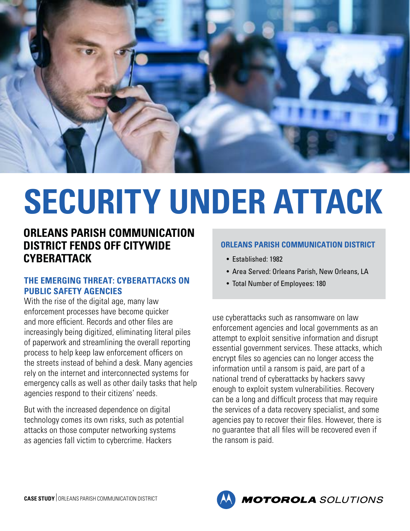

# **SECURITY UNDER ATTACK**

### **ORLEANS PARISH COMMUNICATION DISTRICT FENDS OFF CITYWIDE CYBERATTACK**

#### **THE EMERGING THREAT: CYBERATTACKS ON PUBLIC SAFETY AGENCIES**

With the rise of the digital age, many law enforcement processes have become quicker and more efficient. Records and other files are increasingly being digitized, eliminating literal piles of paperwork and streamlining the overall reporting process to help keep law enforcement officers on the streets instead of behind a desk. Many agencies rely on the internet and interconnected systems for emergency calls as well as other daily tasks that help agencies respond to their citizens' needs.

But with the increased dependence on digital technology comes its own risks, such as potential attacks on those computer networking systems as agencies fall victim to cybercrime. Hackers

#### **ORLEANS PARISH COMMUNICATION DISTRICT**

- Established: 1982
- Area Served: Orleans Parish, New Orleans, LA
- Total Number of Employees: 180

use cyberattacks such as ransomware on law enforcement agencies and local governments as an attempt to exploit sensitive information and disrupt essential government services. These attacks, which encrypt files so agencies can no longer access the information until a ransom is paid, are part of a national trend of cyberattacks by hackers savvy enough to exploit system vulnerabilities. Recovery can be a long and difficult process that may require the services of a data recovery specialist, and some agencies pay to recover their files. However, there is no guarantee that all files will be recovered even if the ransom is paid.

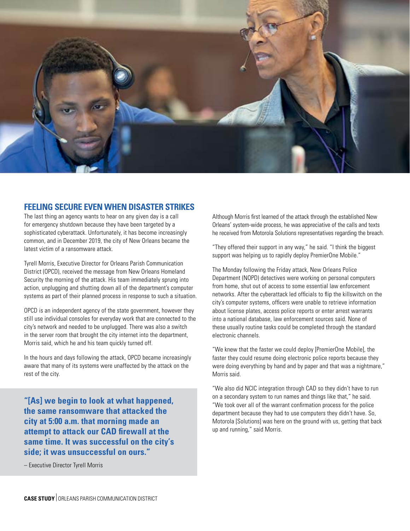

#### **FEELING SECURE EVEN WHEN DISASTER STRIKES**

The last thing an agency wants to hear on any given day is a call for emergency shutdown because they have been targeted by a sophisticated cyberattack. Unfortunately, it has become increasingly common, and in December 2019, the city of New Orleans became the latest victim of a ransomware attack.

Tyrell Morris, Executive Director for Orleans Parish Communication District (OPCD), received the message from New Orleans Homeland Security the morning of the attack. His team immediately sprung into action, unplugging and shutting down all of the department's computer systems as part of their planned process in response to such a situation.

OPCD is an independent agency of the state government, however they still use individual consoles for everyday work that are connected to the city's network and needed to be unplugged. There was also a switch in the server room that brought the city internet into the department, Morris said, which he and his team quickly turned off.

In the hours and days following the attack, OPCD became increasingly aware that many of its systems were unaffected by the attack on the rest of the city.

**"[As] we begin to look at what happened, the same ransomware that attacked the city at 5:00 a.m. that morning made an attempt to attack our CAD firewall at the same time. It was successful on the city's side; it was unsuccessful on ours."** 

– Executive Director Tyrell Morris

Although Morris first learned of the attack through the established New Orleans' system-wide process, he was appreciative of the calls and texts he received from Motorola Solutions representatives regarding the breach.

"They offered their support in any way," he said. "I think the biggest support was helping us to rapidly deploy PremierOne Mobile."

The Monday following the Friday attack, New Orleans Police Department (NOPD) detectives were working on personal computers from home, shut out of access to some essential law enforcement networks. After the cyberattack led officials to flip the killswitch on the city's computer systems, officers were unable to retrieve information about license plates, access police reports or enter arrest warrants into a national database, law enforcement sources said. None of these usually routine tasks could be completed through the standard electronic channels.

"We knew that the faster we could deploy [PremierOne Mobile], the faster they could resume doing electronic police reports because they were doing everything by hand and by paper and that was a nightmare," Morris said.

"We also did NCIC integration through CAD so they didn't have to run on a secondary system to run names and things like that," he said. "We took over all of the warrant confirmation process for the police department because they had to use computers they didn't have. So, Motorola [Solutions] was here on the ground with us, getting that back up and running," said Morris.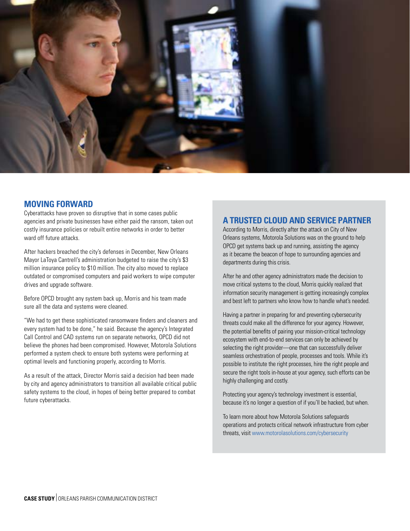

#### **MOVING FORWARD**

Cyberattacks have proven so disruptive that in some cases public agencies and private businesses have either paid the ransom, taken out costly insurance policies or rebuilt entire networks in order to better ward off future attacks.

After hackers breached the city's defenses in December, New Orleans Mayor LaToya Cantrell's administration budgeted to raise the city's \$3 million insurance policy to \$10 million. The city also moved to replace outdated or compromised computers and paid workers to wipe computer drives and upgrade software.

Before OPCD brought any system back up, Morris and his team made sure all the data and systems were cleaned.

"We had to get these sophisticated ransomware finders and cleaners and every system had to be done," he said. Because the agency's Integrated Call Control and CAD systems run on separate networks, OPCD did not believe the phones had been compromised. However, Motorola Solutions performed a system check to ensure both systems were performing at optimal levels and functioning properly, according to Morris.

As a result of the attack, Director Morris said a decision had been made by city and agency administrators to transition all available critical public safety systems to the cloud, in hopes of being better prepared to combat future cyberattacks.

#### **A TRUSTED CLOUD AND SERVICE PARTNER**

According to Morris, directly after the attack on City of New Orleans systems, Motorola Solutions was on the ground to help OPCD get systems back up and running, assisting the agency as it became the beacon of hope to surrounding agencies and departments during this crisis.

After he and other agency administrators made the decision to move critical systems to the cloud, Morris quickly realized that information security management is getting increasingly complex and best left to partners who know how to handle what's needed.

Having a partner in preparing for and preventing cybersecurity threats could make all the difference for your agency. However, the potential benefits of pairing your mission-critical technology ecosystem with end-to-end services can only be achieved by selecting the right provider—one that can successfully deliver seamless orchestration of people, processes and tools. While it's possible to institute the right processes, hire the right people and secure the right tools in-house at your agency, such efforts can be highly challenging and costly.

Protecting your agency's technology investment is essential, because it's no longer a question of if you'll be hacked, but when.

To learn more about how Motorola Solutions safeguards operations and protects critical network infrastructure from cyber threats, visit [www.motorolasolutions.com/cybersecurity](http://www.motorolasolutions.com/cybersecurity)